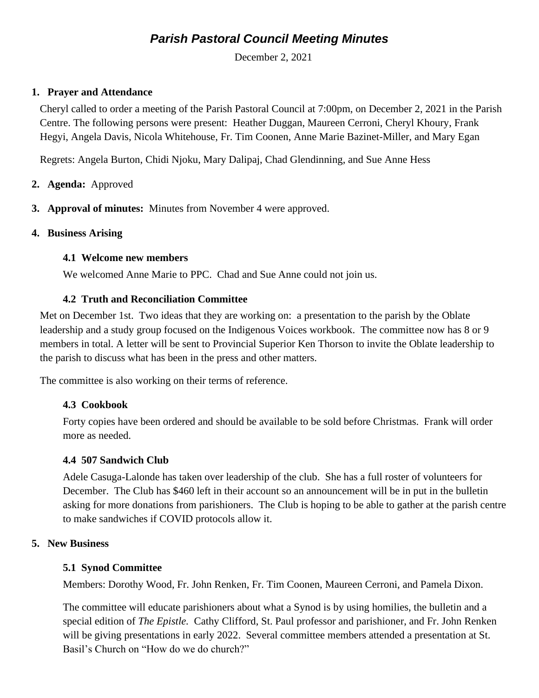# *Parish Pastoral Council Meeting Minutes*

December 2, 2021

#### **1. Prayer and Attendance**

Cheryl called to order a meeting of the Parish Pastoral Council at 7:00pm, on December 2, 2021 in the Parish Centre. The following persons were present: Heather Duggan, Maureen Cerroni, Cheryl Khoury, Frank Hegyi, Angela Davis, Nicola Whitehouse, Fr. Tim Coonen, Anne Marie Bazinet-Miller, and Mary Egan

Regrets: Angela Burton, Chidi Njoku, Mary Dalipaj, Chad Glendinning, and Sue Anne Hess

- **2. Agenda:** Approved
- **3. Approval of minutes:** Minutes from November 4 were approved.

#### **4. Business Arising**

#### **4.1 Welcome new members**

We welcomed Anne Marie to PPC. Chad and Sue Anne could not join us.

#### **4.2 Truth and Reconciliation Committee**

Met on December 1st. Two ideas that they are working on: a presentation to the parish by the Oblate leadership and a study group focused on the Indigenous Voices workbook. The committee now has 8 or 9 members in total. A letter will be sent to Provincial Superior Ken Thorson to invite the Oblate leadership to the parish to discuss what has been in the press and other matters.

The committee is also working on their terms of reference.

## **4.3 Cookbook**

Forty copies have been ordered and should be available to be sold before Christmas. Frank will order more as needed.

## **4.4 507 Sandwich Club**

Adele Casuga-Lalonde has taken over leadership of the club. She has a full roster of volunteers for December. The Club has \$460 left in their account so an announcement will be in put in the bulletin asking for more donations from parishioners. The Club is hoping to be able to gather at the parish centre to make sandwiches if COVID protocols allow it.

## **5. New Business**

## **5.1 Synod Committee**

Members: Dorothy Wood, Fr. John Renken, Fr. Tim Coonen, Maureen Cerroni, and Pamela Dixon.

The committee will educate parishioners about what a Synod is by using homilies, the bulletin and a special edition of *The Epistle.* Cathy Clifford, St. Paul professor and parishioner, and Fr. John Renken will be giving presentations in early 2022. Several committee members attended a presentation at St. Basil's Church on "How do we do church?"